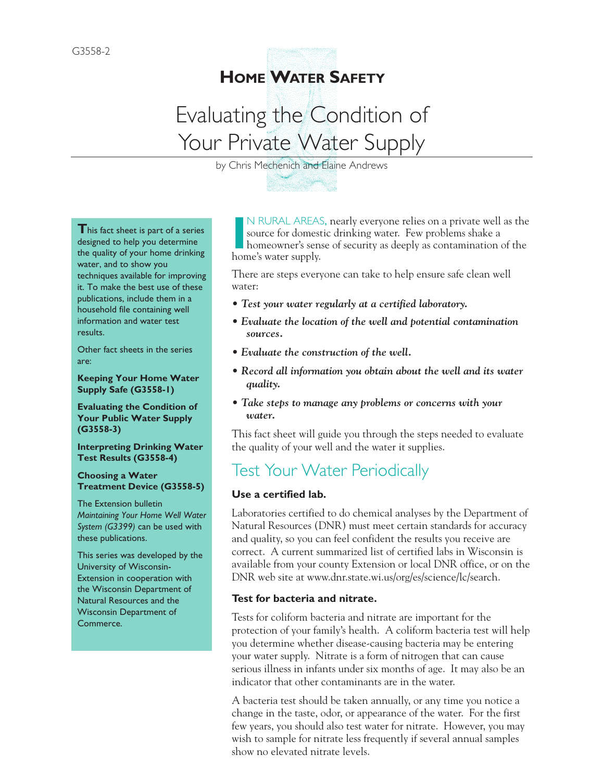# **HOME WATER SAFETY**

# Evaluating the Condition of Your Private Water Supply

by Chris Mechenich and Elaine Andrews

**This fact sheet is part of a series** designed to help you determine the quality of your home drinking water, and to show you techniques available for improving it. To make the best use of these publications, include them in a household file containing well information and water test results.

Other fact sheets in the series are:

**Keeping Your Home Water Supply Safe (G3558-1)** 

**Evaluating the Condition of Your Public Water Supply (G3558-3)** 

**Interpreting Drinking Water Test Results (G3558-4)** 

**Choosing a Water Treatment Device (G3558-5)** 

The Extension bulletin *Maintaining Your Home Well Water System (G3399)* can be used with these publications.

This series was developed by the University of Wisconsin-Extension in cooperation with the Wisconsin Department of Natural Resources and the Wisconsin Department of Commerce.

**I I**<sup>N</sup> RURAL AREAS<br>
source for domest<br>
home's water supply. N RURAL AREAS, nearly everyone relies on a private well as the source for domestic drinking water. Few problems shake a homeowner's sense of security as deeply as contamination of the

There are steps everyone can take to help ensure safe clean well water:

- *Test your water regularly at a certified laboratory.*
- *Evaluate the location of the well and potential contamination sources.*
- *Evaluate the construction of the well.*
- *Record all information you obtain about the well and its water quality.*
- *Take steps to manage any problems or concerns with your water.*

This fact sheet will guide you through the steps needed to evaluate the quality of your well and the water it supplies.

# Test Your Water Periodically

#### **Use a certified lab.**

Laboratories certified to do chemical analyses by the Department of Natural Resources (DNR) must meet certain standards for accuracy and quality, so you can feel confident the results you receive are correct. A current summarized list of certified labs in Wisconsin is available from your county Extension or local DNR office, or on the DNR web site at www.dnr.state.wi.us/org/es/science/lc/search.

#### **Test for bacteria and nitrate.**

Tests for coliform bacteria and nitrate are important for the protection of your family's health. A coliform bacteria test will help you determine whether disease-causing bacteria may be entering your water supply. Nitrate is a form of nitrogen that can cause serious illness in infants under six months of age. It may also be an indicator that other contaminants are in the water.

A bacteria test should be taken annually, or any time you notice a change in the taste, odor, or appearance of the water. For the first few years, you should also test water for nitrate. However, you may wish to sample for nitrate less frequently if several annual samples show no elevated nitrate levels.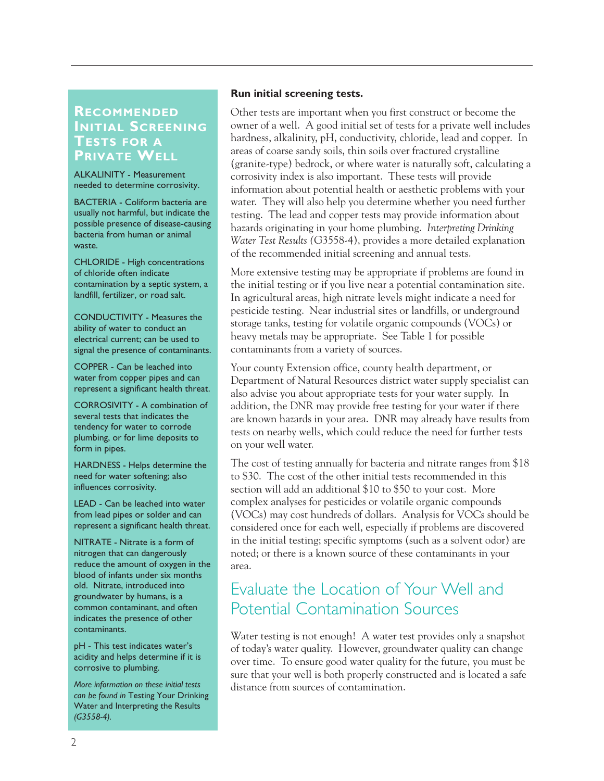### **RECOMMENDED INITIAL SCREENING TESTS FOR A PRIVATE WELL**

ALKALINITY - Measurement needed to determine corrosivity.

BACTERIA - Coliform bacteria are usually not harmful, but indicate the possible presence of disease-causing bacteria from human or animal waste.

CHLORIDE - High concentrations of chloride often indicate contamination by a septic system, a landfill, fertilizer, or road salt.

CONDUCTIVITY - Measures the ability of water to conduct an electrical current; can be used to signal the presence of contaminants.

COPPER - Can be leached into water from copper pipes and can represent a significant health threat.

CORROSIVITY - A combination of several tests that indicates the tendency for water to corrode plumbing, or for lime deposits to form in pipes.

HARDNESS - Helps determine the need for water softening; also influences corrosivity.

LEAD - Can be leached into water from lead pipes or solder and can represent a significant health threat.

NITRATE - Nitrate is a form of nitrogen that can dangerously reduce the amount of oxygen in the blood of infants under six months old. Nitrate, introduced into groundwater by humans, is a common contaminant, and often indicates the presence of other contaminants.

pH - This test indicates water's acidity and helps determine if it is corrosive to plumbing.

*More information on these initial tests can be found in* Testing Your Drinking Water and Interpreting the Results *(G3558-4).*

#### **Run initial screening tests.**

Other tests are important when you first construct or become the owner of a well. A good initial set of tests for a private well includes hardness, alkalinity, pH, conductivity, chloride, lead and copper. In areas of coarse sandy soils, thin soils over fractured crystalline (granite-type) bedrock, or where water is naturally soft, calculating a corrosivity index is also important. These tests will provide information about potential health or aesthetic problems with your water. They will also help you determine whether you need further testing. The lead and copper tests may provide information about hazards originating in your home plumbing. *Interpreting Drinking Water Test Results (*G3558-4), provides a more detailed explanation of the recommended initial screening and annual tests.

More extensive testing may be appropriate if problems are found in the initial testing or if you live near a potential contamination site. In agricultural areas, high nitrate levels might indicate a need for pesticide testing. Near industrial sites or landfills, or underground storage tanks, testing for volatile organic compounds (VOCs) or heavy metals may be appropriate. See Table 1 for possible contaminants from a variety of sources.

Your county Extension office, county health department, or Department of Natural Resources district water supply specialist can also advise you about appropriate tests for your water supply. In addition, the DNR may provide free testing for your water if there are known hazards in your area. DNR may already have results from tests on nearby wells, which could reduce the need for further tests on your well water.

The cost of testing annually for bacteria and nitrate ranges from \$18 to \$30. The cost of the other initial tests recommended in this section will add an additional \$10 to \$50 to your cost. More complex analyses for pesticides or volatile organic compounds (VOCs) may cost hundreds of dollars. Analysis for VOCs should be considered once for each well, especially if problems are discovered in the initial testing; specific symptoms (such as a solvent odor) are noted; or there is a known source of these contaminants in your area.

# Evaluate the Location of Your Well and Potential Contamination Sources

Water testing is not enough! A water test provides only a snapshot of today's water quality. However, groundwater quality can change over time. To ensure good water quality for the future, you must be sure that your well is both properly constructed and is located a safe distance from sources of contamination.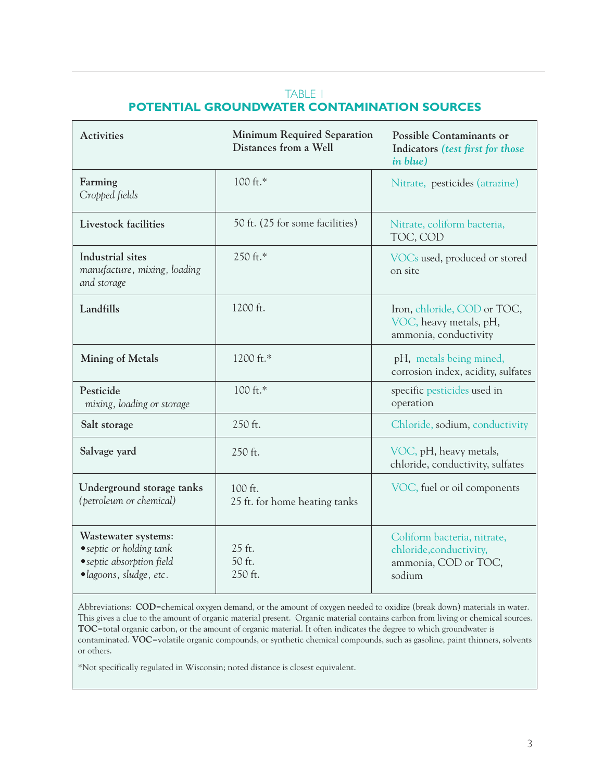### TABLE 1 **POTENTIAL GROUNDWATER CONTAMINATION SOURCES**

| <b>Activities</b>                                                                                       | Minimum Required Separation<br>Distances from a Well | <b>Possible Contaminants or</b><br>Indicators (test first for those<br>in blue)          |
|---------------------------------------------------------------------------------------------------------|------------------------------------------------------|------------------------------------------------------------------------------------------|
| Farming<br>Cropped fields                                                                               | 100 ft.*                                             | Nitrate, pesticides (atrazine)                                                           |
| Livestock facilities                                                                                    | 50 ft. (25 for some facilities)                      | Nitrate, coliform bacteria,<br>TOC, COD                                                  |
| Industrial sites<br>manufacture, mixing, loading<br>and storage                                         | 250 ft.*                                             | VOCs used, produced or stored<br>on site                                                 |
| Landfills                                                                                               | 1200 ft.                                             | Iron, chloride, COD or TOC,<br>VOC, heavy metals, pH,<br>ammonia, conductivity           |
| <b>Mining of Metals</b>                                                                                 | 1200 ft.*                                            | pH, metals being mined,<br>corrosion index, acidity, sulfates                            |
| Pesticide<br>mixing, loading or storage                                                                 | 100 ft.*                                             | specific pesticides used in<br>operation                                                 |
| Salt storage                                                                                            | 250 ft.                                              | Chloride, sodium, conductivity                                                           |
| Salvage yard                                                                                            | 250 ft.                                              | VOC, pH, heavy metals,<br>chloride, conductivity, sulfates                               |
| Underground storage tanks<br>(petroleum or chemical)                                                    | 100 ft.<br>25 ft. for home heating tanks             | VOC, fuel or oil components                                                              |
| Wastewater systems:<br>• septic or holding tank<br>• septic absorption field<br>· lagoons, sludge, etc. | 25 ft.<br>50 ft.<br>250 ft.                          | Coliform bacteria, nitrate,<br>chloride, conductivity,<br>ammonia, COD or TOC,<br>sodium |

Abbreviations: **COD**=chemical oxygen demand, or the amount of oxygen needed to oxidize (break down) materials in water. This gives a clue to the amount of organic material present. Organic material contains carbon from living or chemical sources. **TOC**=total organic carbon, or the amount of organic material. It often indicates the degree to which groundwater is contaminated. **VOC**=volatile organic compounds, or synthetic chemical compounds, such as gasoline, paint thinners, solvents or others.

\*Not specifically regulated in Wisconsin; noted distance is closest equivalent.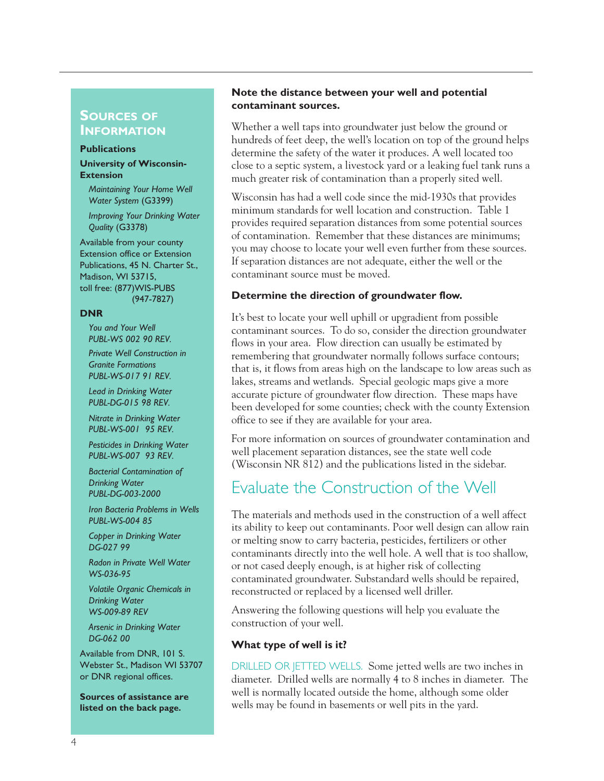#### **SOURCES OF INFORMATION**

#### **Publications**

#### **University of Wisconsin-Extension**

*Maintaining Your Home Well Water System* (G3399) *Improving Your Drinking Water*

*Quality* (G3378)

Available from your county Extension office or Extension Publications, 45 N. Charter St., Madison, WI 53715, toll free: (877)WIS-PUBS (947-7827)

#### **DNR**

*You and Your Well PUBL-WS 002 90 REV.*

*Private Well Construction in Granite Formations PUBL-WS-017 91 REV.*

*Lead in Drinking Water PUBL-DG-015 98 REV.*

*Nitrate in Drinking Water PUBL-WS-001 95 REV.*

*Pesticides in Drinking Water PUBL-WS-007 93 REV.*

*Bacterial Contamination of Drinking Water PUBL-DG-003-2000*

*Iron Bacteria Problems in Wells PUBL-WS-004 85*

*Copper in Drinking Water DG-027 99*

*Radon in Private Well Water WS-036-95*

*Volatile Organic Chemicals in Drinking Water WS-009-89 REV*

*Arsenic in Drinking Water DG-062 00*

Available from DNR, 101 S. Webster St., Madison WI 53707 or DNR regional offices.

**Sources of assistance are listed on the back page.**

#### **Note the distance between your well and potential contaminant sources.**

Whether a well taps into groundwater just below the ground or hundreds of feet deep, the well's location on top of the ground helps determine the safety of the water it produces. A well located too close to a septic system, a livestock yard or a leaking fuel tank runs a much greater risk of contamination than a properly sited well.

Wisconsin has had a well code since the mid-1930s that provides minimum standards for well location and construction. Table 1 provides required separation distances from some potential sources of contamination. Remember that these distances are minimums; you may choose to locate your well even further from these sources. If separation distances are not adequate, either the well or the contaminant source must be moved.

#### **Determine the direction of groundwater flow.**

It's best to locate your well uphill or upgradient from possible contaminant sources. To do so, consider the direction groundwater flows in your area. Flow direction can usually be estimated by remembering that groundwater normally follows surface contours; that is, it flows from areas high on the landscape to low areas such as lakes, streams and wetlands. Special geologic maps give a more accurate picture of groundwater flow direction. These maps have been developed for some counties; check with the county Extension office to see if they are available for your area.

For more information on sources of groundwater contamination and well placement separation distances, see the state well code (Wisconsin NR 812) and the publications listed in the sidebar.

## Evaluate the Construction of the Well

The materials and methods used in the construction of a well affect its ability to keep out contaminants. Poor well design can allow rain or melting snow to carry bacteria, pesticides, fertilizers or other contaminants directly into the well hole. A well that is too shallow, or not cased deeply enough, is at higher risk of collecting contaminated groundwater. Substandard wells should be repaired, reconstructed or replaced by a licensed well driller.

Answering the following questions will help you evaluate the construction of your well.

#### **What type of well is it?**

DRILLED OR JETTED WELLS. Some jetted wells are two inches in diameter. Drilled wells are normally 4 to 8 inches in diameter. The well is normally located outside the home, although some older wells may be found in basements or well pits in the yard.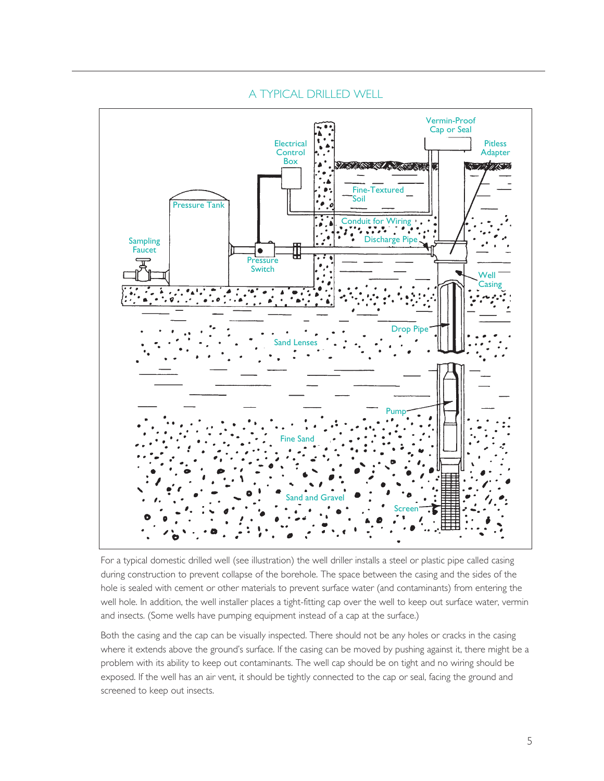

### A TYPICAL DRILLED WELL

For a typical domestic drilled well (see illustration) the well driller installs a steel or plastic pipe called casing during construction to prevent collapse of the borehole. The space between the casing and the sides of the hole is sealed with cement or other materials to prevent surface water (and contaminants) from entering the well hole. In addition, the well installer places a tight-fitting cap over the well to keep out surface water, vermin and insects. (Some wells have pumping equipment instead of a cap at the surface.)

Both the casing and the cap can be visually inspected. There should not be any holes or cracks in the casing where it extends above the ground's surface. If the casing can be moved by pushing against it, there might be a problem with its ability to keep out contaminants. The well cap should be on tight and no wiring should be exposed. If the well has an air vent, it should be tightly connected to the cap or seal, facing the ground and screened to keep out insects.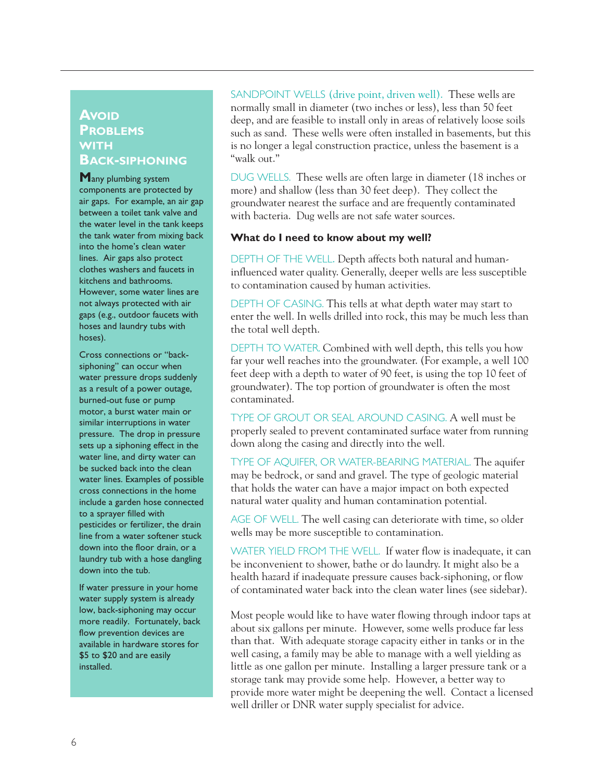### **AVOID PROBLEMS WITH BACK-SIPHONING**

**M**any plumbing system components are protected by air gaps. For example, an air gap between a toilet tank valve and the water level in the tank keeps the tank water from mixing back into the home's clean water lines. Air gaps also protect clothes washers and faucets in kitchens and bathrooms. However, some water lines are not always protected with air gaps (e.g., outdoor faucets with hoses and laundry tubs with hoses).

Cross connections or "backsiphoning" can occur when water pressure drops suddenly as a result of a power outage, burned-out fuse or pump motor, a burst water main or similar interruptions in water pressure. The drop in pressure sets up a siphoning effect in the water line, and dirty water can be sucked back into the clean water lines. Examples of possible cross connections in the home include a garden hose connected to a sprayer filled with pesticides or fertilizer, the drain line from a water softener stuck down into the floor drain, or a laundry tub with a hose dangling down into the tub.

If water pressure in your home water supply system is already low, back-siphoning may occur more readily. Fortunately, back flow prevention devices are available in hardware stores for \$5 to \$20 and are easily installed.

SANDPOINT WELLS (drive point, driven well). These wells are normally small in diameter (two inches or less), less than 50 feet deep, and are feasible to install only in areas of relatively loose soils such as sand. These wells were often installed in basements, but this is no longer a legal construction practice, unless the basement is a "walk out."

DUG WELLS. These wells are often large in diameter (18 inches or more) and shallow (less than 30 feet deep). They collect the groundwater nearest the surface and are frequently contaminated with bacteria. Dug wells are not safe water sources.

#### **What do I need to know about my well?**

DEPTH OF THE WELL. Depth affects both natural and humaninfluenced water quality. Generally, deeper wells are less susceptible to contamination caused by human activities.

DEPTH OF CASING. This tells at what depth water may start to enter the well. In wells drilled into rock, this may be much less than the total well depth.

DEPTH TO WATER. Combined with well depth, this tells you how far your well reaches into the groundwater. (For example, a well 100 feet deep with a depth to water of 90 feet, is using the top 10 feet of groundwater). The top portion of groundwater is often the most contaminated.

TYPE OF GROUT OR SEAL AROUND CASING. A well must be properly sealed to prevent contaminated surface water from running down along the casing and directly into the well.

TYPE OF AQUIFER, OR WATER-BEARING MATERIAL. The aquifer may be bedrock, or sand and gravel. The type of geologic material that holds the water can have a major impact on both expected natural water quality and human contamination potential.

AGE OF WELL. The well casing can deteriorate with time, so older wells may be more susceptible to contamination.

WATER YIELD FROM THE WELL. If water flow is inadequate, it can be inconvenient to shower, bathe or do laundry. It might also be a health hazard if inadequate pressure causes back-siphoning, or flow of contaminated water back into the clean water lines (see sidebar).

Most people would like to have water flowing through indoor taps at about six gallons per minute. However, some wells produce far less than that. With adequate storage capacity either in tanks or in the well casing, a family may be able to manage with a well yielding as little as one gallon per minute. Installing a larger pressure tank or a storage tank may provide some help. However, a better way to provide more water might be deepening the well. Contact a licensed well driller or DNR water supply specialist for advice.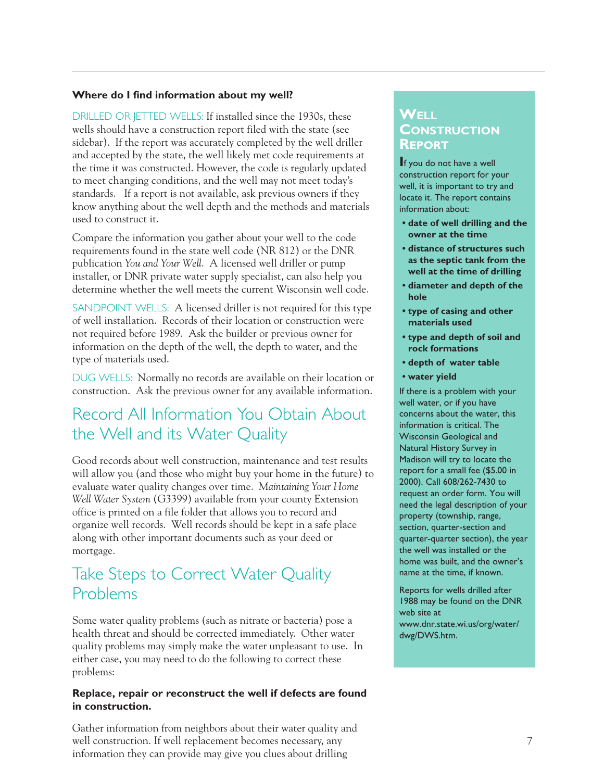#### **Where do I find information about my well?**

DRILLED OR JETTED WELLS: If installed since the 1930s, these wells should have a construction report filed with the state (see sidebar). If the report was accurately completed by the well driller and accepted by the state, the well likely met code requirements at the time it was constructed. However, the code is regularly updated to meet changing conditions, and the well may not meet today's standards. If a report is not available, ask previous owners if they know anything about the well depth and the methods and materials used to construct it.

Compare the information you gather about your well to the code requirements found in the state well code (NR 812) or the DNR publication *You and Your Well*. A licensed well driller or pump installer, or DNR private water supply specialist, can also help you determine whether the well meets the current Wisconsin well code.

SANDPOINT WELLS: A licensed driller is not required for this type of well installation. Records of their location or construction were not required before 1989. Ask the builder or previous owner for information on the depth of the well, the depth to water, and the type of materials used.

DUG WELLS: Normally no records are available on their location or construction. Ask the previous owner for any available information.

# Record All Information You Obtain About the Well and its Water Quality

Good records about well construction, maintenance and test results will allow you (and those who might buy your home in the future) to evaluate water quality changes over time. *Maintaining Your Home Well Water System* (G3399) available from your county Extension office is printed on a file folder that allows you to record and organize well records. Well records should be kept in a safe place along with other important documents such as your deed or mortgage.

# Take Steps to Correct Water Quality Problems

Some water quality problems (such as nitrate or bacteria) pose a health threat and should be corrected immediately. Other water quality problems may simply make the water unpleasant to use. In either case, you may need to do the following to correct these problems:

#### **Replace, repair or reconstruct the well if defects are found in construction.**

Gather information from neighbors about their water quality and well construction. If well replacement becomes necessary, any information they can provide may give you clues about drilling

### **WELL CONSTRUCTION REPORT**

**I**f you do not have a well construction report for your well, it is important to try and locate it. The report contains information about:

- **date of well drilling and the owner at the time**
- **distance of structures such as the septic tank from the well at the time of drilling**
- **diameter and depth of the hole**
- **type of casing and other materials used**
- **type and depth of soil and rock formations**
- **depth of water table**
- **water yield**

If there is a problem with your well water, or if you have concerns about the water, this information is critical. The Wisconsin Geological and Natural History Survey in Madison will try to locate the report for a small fee (\$5.00 in 2000). Call 608/262-7430 to request an order form. You will need the legal description of your property (township, range, section, quarter-section and quarter-quarter section), the year the well was installed or the home was built, and the owner's name at the time, if known.

Reports for wells drilled after 1988 may be found on the DNR web site at www.dnr.state.wi.us/org/water/ dwg/DWS.htm.